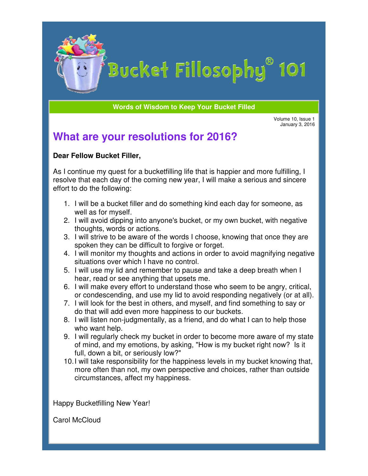

# Bucket Fillosophy<sup>®</sup> 101

**Words of Wisdom to Keep Your Bucket Filled** 

Volume Volume 10, Issue 1 January 3, 2016

## **What are your resolutions for 2016?**

### **Dear Fellow Bucket Filler Filler,**

As I continue my quest for a bucketfilling life that is happier and more fulfilling, I As I continue my quest for a bucketfilling life that is happier and more fulfilling, I<br>resolve that each day of the coming new year, I will make a serious and sincere effort to do the following:

- 1. I will be a bucket filler and do something kind each day for someone, as well as for myself.
- 2. I will avoid dipping into anyone's bucket, or my own bucket, with n thoughts, words or actions. be a bucket filler and do something kind each day for someone, as<br>as for myself.<br>avoid dipping into anyone's bucket, or my own bucket, with negative<br>ghts, words or actions.<br>strive to be aware of the words I choose, knowing negative
- 3. I will strive to be aware of the words I choose, knowing that once they are spoken they can be difficult to forgive or forget.
- 4. I will monitor my thoughts and actions in order to avoid magnifying negative situations over which I have no control.
- 5. I will use my lid and remember to pause and take a deep breath when I hear, read or see anything that upsets me.
- 6. I will make every effort to understand those who seem to be angry, critical, I will monitor my thoughts and actions in order to avoid magnifying negative<br>situations over which I have no control.<br>I will use my lid and remember to pause and take a deep breath when I<br>hear, read or see anything that up
- 7. I will look for the best in others, and myself, and find something to say or I will look for the best in others, and myself, and find :<br>do that will add even more happiness to our buckets.
- 8. I will listen non-judgmentally, as a friend, and do what I can to help those who want help. id responding negatively (or at al<br>elf, and find something to say or<br>our buckets.<br>and do what I can to help those<br>to become more aware of my stat<br>ow is my bucket right now? Is it
- 9. I will regularly check my bucket in order to become more aware of my state of mind, and my emotions, by asking, "How is my bucket right now? full, down a bit, or seriously low?" eck my bucket in order to become more aware of<br>emotions, by asking, "How is my bucket right now<br>r seriously low?"<br>sibility for the happiness levels in my bucket know
- 10. I will take responsibility for the happiness levels in my bucket knowing that, more often than not, my own perspective and choices, rather than outside circumstances, affect my happiness. happiness.

Happy Bucketfilling New Year!

Carol McCloud